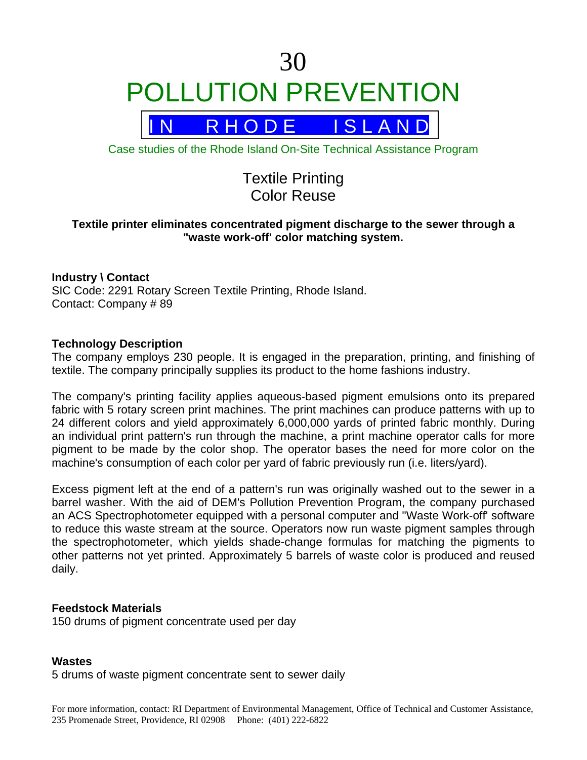# 30 POLLUTION PREVENTION



Case studies of the Rhode Island On-Site Technical Assistance Program

# Textile Printing Color Reuse

# **Textile printer eliminates concentrated pigment discharge to the sewer through a "waste work-off' color matching system.**

## **Industry \ Contact**

SIC Code: 2291 Rotary Screen Textile Printing, Rhode Island. Contact: Company # 89

### **Technology Description**

The company employs 230 people. It is engaged in the preparation, printing, and finishing of textile. The company principally supplies its product to the home fashions industry.

The company's printing facility applies aqueous-based pigment emulsions onto its prepared fabric with 5 rotary screen print machines. The print machines can produce patterns with up to 24 different colors and yield approximately 6,000,000 yards of printed fabric monthly. During an individual print pattern's run through the machine, a print machine operator calls for more pigment to be made by the color shop. The operator bases the need for more color on the machine's consumption of each color per yard of fabric previously run (i.e. liters/yard).

Excess pigment left at the end of a pattern's run was originally washed out to the sewer in a barrel washer. With the aid of DEM's Pollution Prevention Program, the company purchased an ACS Spectrophotometer equipped with a personal computer and "Waste Work-off' software to reduce this waste stream at the source. Operators now run waste pigment samples through the spectrophotometer, which yields shade-change formulas for matching the pigments to other patterns not yet printed. Approximately 5 barrels of waste color is produced and reused daily.

### **Feedstock Materials**

150 drums of pigment concentrate used per day

### **Wastes**

5 drums of waste pigment concentrate sent to sewer daily